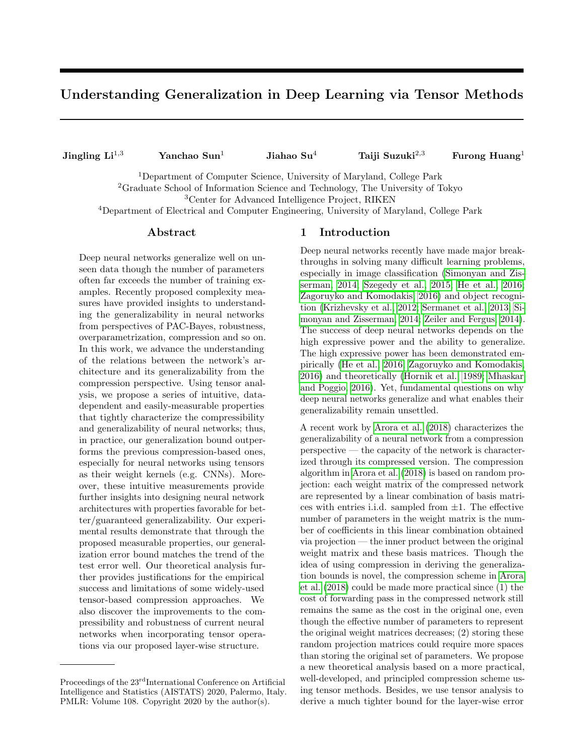# Understanding Generalization in Deep Learning via Tensor Methods

Jingling  $Li^{1,3}$  Yanchao Sun<sup>1</sup> Jiahao Su<sup>4</sup> Taiji Suzuki<sup>2,3</sup> Furong Huang<sup>1</sup>

<sup>1</sup>Department of Computer Science, University of Maryland, College Park <sup>2</sup>Graduate School of Information Science and Technology, The University of Tokyo <sup>3</sup>Center for Advanced Intelligence Project, RIKEN

<sup>4</sup>Department of Electrical and Computer Engineering, University of Maryland, College Park

#### Abstract

Deep neural networks generalize well on unseen data though the number of parameters often far exceeds the number of training examples. Recently proposed complexity measures have provided insights to understanding the generalizability in neural networks from perspectives of PAC-Bayes, robustness, overparametrization, compression and so on. In this work, we advance the understanding of the relations between the network's architecture and its generalizability from the compression perspective. Using tensor analysis, we propose a series of intuitive, datadependent and easily-measurable properties that tightly characterize the compressibility and generalizability of neural networks; thus, in practice, our generalization bound outperforms the previous compression-based ones, especially for neural networks using tensors as their weight kernels (e.g. CNNs). Moreover, these intuitive measurements provide further insights into designing neural network architectures with properties favorable for better/guaranteed generalizability. Our experimental results demonstrate that through the proposed measurable properties, our generalization error bound matches the trend of the test error well. Our theoretical analysis further provides justifications for the empirical success and limitations of some widely-used tensor-based compression approaches. We also discover the improvements to the compressibility and robustness of current neural networks when incorporating tensor operations via our proposed layer-wise structure.

#### 1 Introduction

Deep neural networks recently have made major breakthroughs in solving many difficult learning problems, especially in image classification [\(Simonyan and Zis](#page-10-0)[serman, 2014;](#page-10-0) [Szegedy et al., 2015;](#page-10-1) [He et al., 2016;](#page-9-0) [Zagoruyko and Komodakis, 2016\)](#page-10-2) and object recognition [\(Krizhevsky et al., 2012;](#page-9-1) [Sermanet et al., 2013;](#page-10-3) [Si](#page-10-0)[monyan and Zisserman, 2014;](#page-10-0) [Zeiler and Fergus, 2014\)](#page-10-4). The success of deep neural networks depends on the high expressive power and the ability to generalize. The high expressive power has been demonstrated empirically [\(He et al., 2016;](#page-9-0) [Zagoruyko and Komodakis,](#page-10-2) [2016\)](#page-10-2) and theoretically [\(Hornik et al., 1989;](#page-9-2) [Mhaskar](#page-9-3) [and Poggio, 2016\)](#page-9-3). Yet, fundamental questions on why deep neural networks generalize and what enables their generalizability remain unsettled.

A recent work by [Arora et al.](#page-8-0) [\(2018\)](#page-8-0) characterizes the generalizability of a neural network from a compression perspective — the capacity of the network is characterized through its compressed version. The compression algorithm in [Arora et al.](#page-8-0) [\(2018\)](#page-8-0) is based on random projection: each weight matrix of the compressed network are represented by a linear combination of basis matrices with entries i.i.d. sampled from  $\pm 1$ . The effective number of parameters in the weight matrix is the number of coefficients in this linear combination obtained via projection — the inner product between the original weight matrix and these basis matrices. Though the idea of using compression in deriving the generalization bounds is novel, the compression scheme in [Arora](#page-8-0) [et al.](#page-8-0) [\(2018\)](#page-8-0) could be made more practical since (1) the cost of forwarding pass in the compressed network still remains the same as the cost in the original one, even though the effective number of parameters to represent the original weight matrices decreases; (2) storing these random projection matrices could require more spaces than storing the original set of parameters. We propose a new theoretical analysis based on a more practical, well-developed, and principled compression scheme using tensor methods. Besides, we use tensor analysis to derive a much tighter bound for the layer-wise error

Proceedings of the 23<sup>rd</sup>International Conference on Artificial Intelligence and Statistics (AISTATS) 2020, Palermo, Italy. PMLR: Volume 108. Copyright 2020 by the author(s).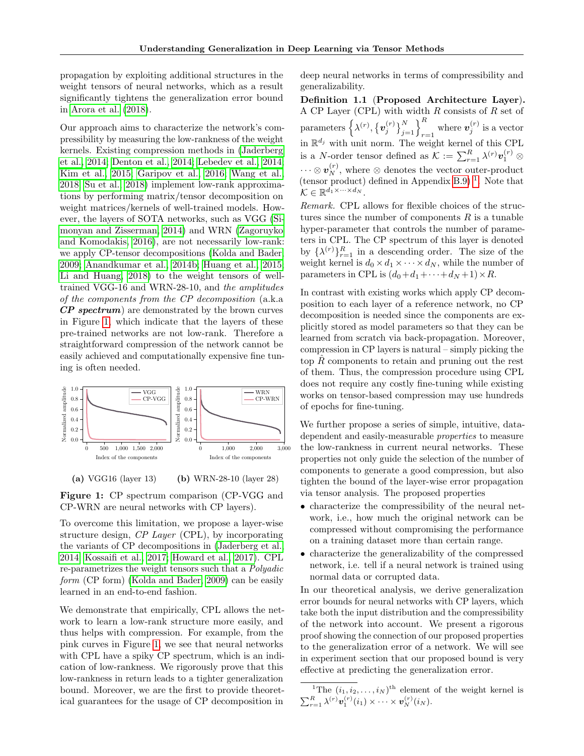propagation by exploiting additional structures in the weight tensors of neural networks, which as a result significantly tightens the generalization error bound in [Arora et al.](#page-8-0) [\(2018\)](#page-8-0).

Our approach aims to characterize the network's compressibility by measuring the low-rankness of the weight kernels. Existing compression methods in [\(Jaderberg](#page-9-4) [et al., 2014;](#page-9-4) [Denton et al., 2014;](#page-8-1) [Lebedev et al., 2014;](#page-9-5) [Kim et al., 2015;](#page-9-6) [Garipov et al., 2016;](#page-8-2) [Wang et al.,](#page-10-5) [2018;](#page-10-5) [Su et al., 2018\)](#page-10-6) implement low-rank approximations by performing matrix/tensor decomposition on weight matrices/kernels of well-trained models. However, the layers of SOTA networks, such as VGG [\(Si](#page-10-0)[monyan and Zisserman, 2014\)](#page-10-0) and WRN [\(Zagoruyko](#page-10-2) [and Komodakis, 2016\)](#page-10-2), are not necessarily low-rank: we apply CP-tensor decompositions [\(Kolda and Bader,](#page-9-7) [2009;](#page-9-7) [Anandkumar et al., 2014b;](#page-8-3) [Huang et al., 2015;](#page-9-8) [Li and Huang, 2018\)](#page-9-9) to the weight tensors of welltrained VGG-16 and WRN-28-10, and the amplitudes of the components from the CP decomposition (a.k.a  $\it CP\ spectrum)$  are demonstrated by the brown curves in Figure [1,](#page-1-0) which indicate that the layers of these pre-trained networks are not low-rank. Therefore a straightforward compression of the network cannot be easily achieved and computationally expensive fine tuning is often needed.

<span id="page-1-0"></span>

(a) VGG16 (layer 13) (b) WRN-28-10 (layer 28)

Figure 1: CP spectrum comparison (CP-VGG and CP-WRN are neural networks with CP layers).

To overcome this limitation, we propose a layer-wise structure design, CP Layer (CPL), by incorporating the variants of CP decompositions in [\(Jaderberg et al.,](#page-9-4) [2014;](#page-9-4) [Kossaifi et al., 2017;](#page-9-10) [Howard et al., 2017\)](#page-9-11). CPL re-parametrizes the weight tensors such that a Polyadic form (CP form) [\(Kolda and Bader, 2009\)](#page-9-7) can be easily learned in an end-to-end fashion.

We demonstrate that empirically, CPL allows the network to learn a low-rank structure more easily, and thus helps with compression. For example, from the pink curves in Figure [1,](#page-1-0) we see that neural networks with CPL have a spiky CP spectrum, which is an indication of low-rankness. We rigorously prove that this low-rankness in return leads to a tighter generalization bound. Moreover, we are the first to provide theoretical guarantees for the usage of CP decomposition in deep neural networks in terms of compressibility and generalizability.

Definition 1.1 (Proposed Architecture Layer). A CP Layer (CPL) with width  $R$  consists of  $R$  set of parameters  $\left\{ \lambda^{(r)}, \left\{ \bm{v}_{j}^{(r)} \right\}_{j=1}^{N} \right\}_{r=1}^{R}$  where  $\bm{v}_{j}^{(r)}$  is a vector in  $\mathbb{R}^{d_j}$  with unit norm. The weight kernel of this CPL is a *N*-order tensor defined as  $\mathcal{K} := \sum_{r=1}^{R} \lambda^{(r)} \mathbf{v}_1^{(r)} \otimes$  $\cdots \otimes \bm{v}_N^{(r)},$  where  $\otimes$  denotes the vector outer-product (tensor product) defined in Appendix [B.9\)](#page--1-0)<sup>[1](#page-1-1)</sup>. Note that  $\mathcal{K} \in \mathbb{R}^{d_1 \times \cdots \times d_N}$ .

Remark. CPL allows for flexible choices of the structures since the number of components  $R$  is a tunable hyper-parameter that controls the number of parameters in CPL. The CP spectrum of this layer is denoted by  $\{\lambda^{(r)}\}_{r=1}^R$  in a descending order. The size of the weight kernel is  $d_0 \times d_1 \times \cdots \times d_N$ , while the number of parameters in CPL is  $(d_0+d_1+\cdots+d_N+1)\times R$ .

In contrast with existing works which apply CP decomposition to each layer of a reference network, no CP decomposition is needed since the components are explicitly stored as model parameters so that they can be learned from scratch via back-propagation. Moreover, compression in CP layers is natural – simply picking the top  $\hat{R}$  components to retain and pruning out the rest of them. Thus, the compression procedure using CPL does not require any costly fine-tuning while existing works on tensor-based compression may use hundreds of epochs for fine-tuning.

We further propose a series of simple, intuitive, datadependent and easily-measurable properties to measure the low-rankness in current neural networks. These properties not only guide the selection of the number of components to generate a good compression, but also tighten the bound of the layer-wise error propagation via tensor analysis. The proposed properties

- characterize the compressibility of the neural network, i.e., how much the original network can be compressed without compromising the performance on a training dataset more than certain range.
- characterize the generalizability of the compressed network, i.e. tell if a neural network is trained using normal data or corrupted data.

In our theoretical analysis, we derive generalization error bounds for neural networks with CP layers, which take both the input distribution and the compressibility of the network into account. We present a rigorous proof showing the connection of our proposed properties to the generalization error of a network. We will see in experiment section that our proposed bound is very effective at predicting the generalization error.

<span id="page-1-1"></span><sup>&</sup>lt;sup>1</sup>The  $(i_1, i_2, \ldots, i_N)$ <sup>th</sup> element of the weight kernel is  $\sum_{r=1}^R \lambda^{(r)} \boldsymbol{v}_1^{(r)}(i_1) \times \cdots \times \boldsymbol{v}_N^{(r)}(i_N).$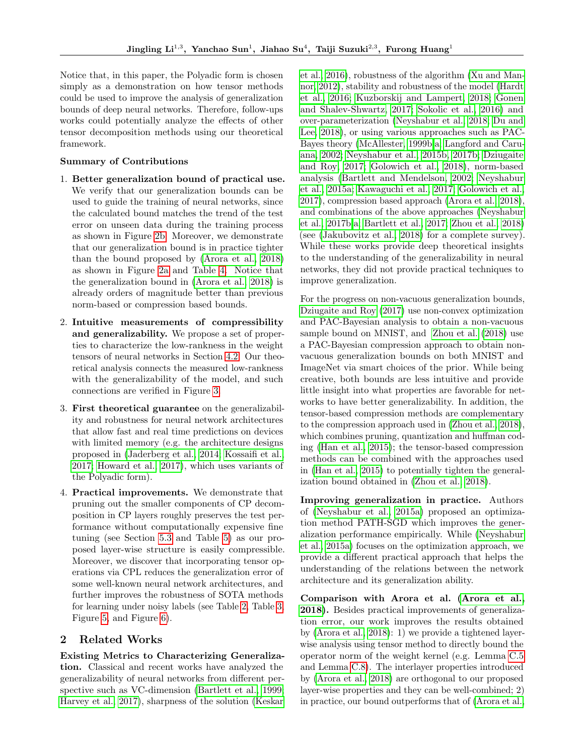Notice that, in this paper, the Polyadic form is chosen simply as a demonstration on how tensor methods could be used to improve the analysis of generalization bounds of deep neural networks. Therefore, follow-ups works could potentially analyze the effects of other tensor decomposition methods using our theoretical framework.

## Summary of Contributions

- 1. Better generalization bound of practical use. We verify that our generalization bounds can be used to guide the training of neural networks, since the calculated bound matches the trend of the test error on unseen data during the training process as shown in Figure [2b.](#page-6-0) Moreover, we demonstrate that our generalization bound is in practice tighter than the bound proposed by [\(Arora et al., 2018\)](#page-8-0) as shown in Figure [2a](#page-6-0) and Table [4.](#page--1-1) Notice that the generalization bound in [\(Arora et al., 2018\)](#page-8-0) is already orders of magnitude better than previous norm-based or compression based bounds.
- 2. Intuitive measurements of compressibility and generalizability. We propose a set of properties to characterize the low-rankness in the weight tensors of neural networks in Section [4.2.](#page-4-0) Our theoretical analysis connects the measured low-rankness with the generalizability of the model, and such connections are verified in Figure [3.](#page-6-1)
- 3. First theoretical guarantee on the generalizability and robustness for neural network architectures that allow fast and real time predictions on devices with limited memory (e.g. the architecture designs proposed in [\(Jaderberg et al., 2014;](#page-9-4) [Kossaifi et al.,](#page-9-10) [2017;](#page-9-10) [Howard et al., 2017\)](#page-9-11), which uses variants of the Polyadic form).
- 4. Practical improvements. We demonstrate that pruning out the smaller components of CP decomposition in CP layers roughly preserves the test performance without computationally expensive fine tuning (see Section [5.3](#page-7-0) and Table [5\)](#page--1-2) as our proposed layer-wise structure is easily compressible. Moreover, we discover that incorporating tensor operations via CPL reduces the generalization error of some well-known neural network architectures, and further improves the robustness of SOTA methods for learning under noisy labels (see Table [2,](#page-6-2) Table [3,](#page-7-1) Figure [5,](#page--1-3) and Figure [6\)](#page--1-1).

#### 2 Related Works

Existing Metrics to Characterizing Generalization. Classical and recent works have analyzed the generalizability of neural networks from different perspective such as VC-dimension [\(Bartlett et al., 1999;](#page-8-4) [Harvey et al., 2017\)](#page-8-5), sharpness of the solution [\(Keskar](#page-9-12) [et al., 2016\)](#page-9-12), robustness of the algorithm [\(Xu and Man](#page-10-7)[nor, 2012\)](#page-10-7), stability and robustness of the model [\(Hardt](#page-8-6) [et al., 2016;](#page-8-6) [Kuzborskij and Lampert, 2018;](#page-9-13) [Gonen](#page-8-7) [and Shalev-Shwartz, 2017;](#page-8-7) [Sokolic et al., 2016\)](#page-10-8) and over-parameterization [\(Neyshabur et al., 2018;](#page-10-9) [Du and](#page-8-8) [Lee, 2018\)](#page-8-8), or using various approaches such as PAC-Bayes theory [\(McAllester, 1999b,](#page-9-14)[a;](#page-9-15) [Langford and Caru](#page-9-16)[ana, 2002;](#page-9-16) [Neyshabur et al., 2015b,](#page-9-17) [2017b;](#page-10-10) [Dziugaite](#page-8-9) [and Roy, 2017;](#page-8-9) [Golowich et al., 2018\)](#page-8-10), norm-based analysis [\(Bartlett and Mendelson, 2002;](#page-8-11) [Neyshabur](#page-9-18) [et al., 2015a;](#page-9-18) [Kawaguchi et al., 2017;](#page-9-19) [Golowich et al.,](#page-8-12) [2017\)](#page-8-12), compression based approach [\(Arora et al., 2018\)](#page-8-0), and combinations of the above approaches [\(Neyshabur](#page-10-10) [et al., 2017b](#page-10-10)[,a;](#page-9-20) [Bartlett et al., 2017;](#page-8-13) [Zhou et al., 2018\)](#page-10-11) (see [\(Jakubovitz et al., 2018\)](#page-9-21) for a complete survey). While these works provide deep theoretical insights to the understanding of the generalizability in neural networks, they did not provide practical techniques to improve generalization.

For the progress on non-vacuous generalization bounds, [Dziugaite and Roy](#page-8-9) [\(2017\)](#page-8-9) use non-convex optimization and PAC-Bayesian analysis to obtain a non-vacuous sample bound on MNIST, and [Zhou et al.](#page-10-11) [\(2018\)](#page-10-11) use a PAC-Bayesian compression approach to obtain nonvacuous generalization bounds on both MNIST and ImageNet via smart choices of the prior. While being creative, both bounds are less intuitive and provide little insight into what properties are favorable for networks to have better generalizability. In addition, the tensor-based compression methods are complementary to the compression approach used in [\(Zhou et al., 2018\)](#page-10-11), which combines pruning, quantization and huffman coding [\(Han et al., 2015\)](#page-8-14); the tensor-based compression methods can be combined with the approaches used in [\(Han et al., 2015\)](#page-8-14) to potentially tighten the generalization bound obtained in [\(Zhou et al., 2018\)](#page-10-11).

Improving generalization in practice. Authors of [\(Neyshabur et al., 2015a\)](#page-9-18) proposed an optimization method PATH-SGD which improves the generalization performance empirically. While [\(Neyshabur](#page-9-18) [et al., 2015a\)](#page-9-18) focuses on the optimization approach, we provide a different practical approach that helps the understanding of the relations between the network architecture and its generalization ability.

Comparison with Arora et al. [\(Arora et al.,](#page-8-0) [2018\)](#page-8-0). Besides practical improvements of generalization error, our work improves the results obtained by [\(Arora et al., 2018\)](#page-8-0): 1) we provide a tightened layerwise analysis using tensor method to directly bound the operator norm of the weight kernel (e.g. Lemma [C.5](#page--1-4) and Lemma [C.8\)](#page--1-5). The interlayer properties introduced by [\(Arora et al., 2018\)](#page-8-0) are orthogonal to our proposed layer-wise properties and they can be well-combined; 2) in practice, our bound outperforms that of [\(Arora et al.,](#page-8-0)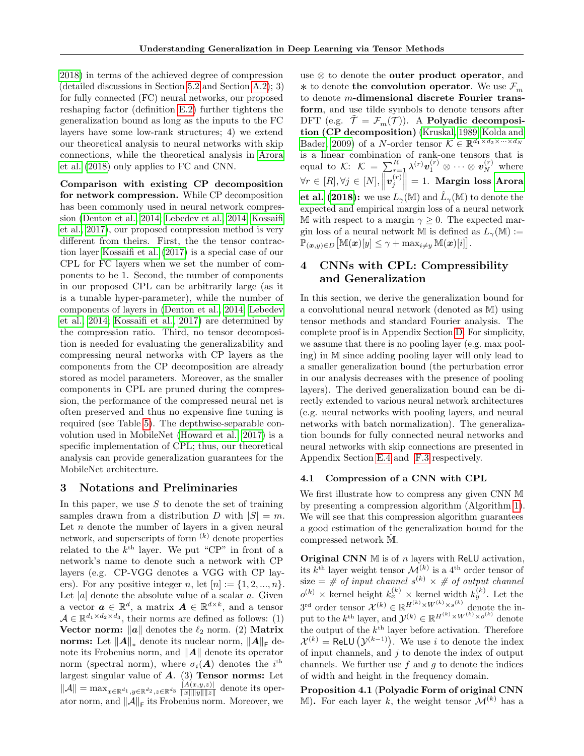[2018\)](#page-8-0) in terms of the achieved degree of compression (detailed discussions in Section [5.2](#page-7-2) and Section [A.2\)](#page--1-6); 3) for fully connected (FC) neural networks, our proposed reshaping factor (definition [E.2\)](#page--1-7) further tightens the generalization bound as long as the inputs to the FC layers have some low-rank structures; 4) we extend our theoretical analysis to neural networks with skip connections, while the theoretical analysis in [Arora](#page-8-0) [et al.](#page-8-0) [\(2018\)](#page-8-0) only applies to FC and CNN.

Comparison with existing CP decomposition for network compression. While CP decomposition has been commonly used in neural network compression [\(Denton et al., 2014;](#page-8-1) [Lebedev et al., 2014;](#page-9-5) [Kossaifi](#page-9-10) [et al., 2017\)](#page-9-10), our proposed compression method is very different from theirs. First, the the tensor contraction layer [Kossaifi et al.](#page-9-10) [\(2017\)](#page-9-10) is a special case of our CPL for FC layers when we set the number of components to be 1. Second, the number of components in our proposed CPL can be arbitrarily large (as it is a tunable hyper-parameter), while the number of components of layers in [\(Denton et al., 2014;](#page-8-1) [Lebedev](#page-9-5) [et al., 2014;](#page-9-5) [Kossaifi et al., 2017\)](#page-9-10) are determined by the compression ratio. Third, no tensor decomposition is needed for evaluating the generalizability and compressing neural networks with CP layers as the components from the CP decomposition are already stored as model parameters. Moreover, as the smaller components in CPL are pruned during the compression, the performance of the compressed neural net is often preserved and thus no expensive fine tuning is required (see Table [5\)](#page--1-2). The depthwise-separable convolution used in MobileNet [\(Howard et al., 2017\)](#page-9-11) is a specific implementation of CPL; thus, our theoretical analysis can provide generalization guarantees for the MobileNet architecture.

### 3 Notations and Preliminaries

In this paper, we use  $S$  to denote the set of training samples drawn from a distribution D with  $|S| = m$ . Let  $n$  denote the number of layers in a given neural network, and superscripts of form  $(k)$  denote properties related to the  $k^{\text{th}}$  layer. We put "CP" in front of a network's name to denote such a network with CP layers (e.g. CP-VGG denotes a VGG with CP layers). For any positive integer n, let  $[n] := \{1, 2, ..., n\}$ . Let  $|a|$  denote the absolute value of a scalar  $a$ . Given a vector  $\boldsymbol{a} \in \mathbb{R}^d$ , a matrix  $\boldsymbol{A} \in \mathbb{R}^{d \times k}$ , and a tensor  $A \in \mathbb{R}^{d_1 \times d_2 \times d_3}$ , their norms are defined as follows: (1) Vector norm:  $\|\boldsymbol{a}\|$  denotes the  $\ell_2$  norm. (2) Matrix norms: Let  $\|\pmb{A}\|_*$  denote its nuclear norm,  $\|\pmb{A}\|_{\mathsf{F}}$  denote its Frobenius norm, and  $\|\mathbf{A}\|$  denote its operator norm (spectral norm), where  $\sigma_i(A)$  denotes the i<sup>th</sup> largest singular value of  $A$ . (3) **Tensor norms:** Let  $\|\mathcal{A}\| = \max_{x \in \mathbb{R}^{d_1}, y \in \mathbb{R}^{d_2}, z \in \mathbb{R}^{d_3}} \frac{|A(x,y,z)|}{\|x\| \|y\| \|z\|}$  $\frac{|A(x,y,z)|}{||x|| ||y|| ||z||}$  denote its operator norm, and  $||\mathcal{A}||_{\mathsf{F}}$  its Frobenius norm. Moreover, we

use ⊗ to denote the outer product operator, and **∗** to denote **the convolution operator**. We use  $\mathcal{F}_m$ to denote m-dimensional discrete Fourier transform, and use tilde symbols to denote tensors after DFT (e.g.  $\tilde{\mathcal{T}} = \mathcal{F}_m(\mathcal{T})$ ). A Polyadic decomposition (CP decomposition) [\(Kruskal, 1989;](#page-9-22) [Kolda and](#page-9-7) [Bader, 2009\)](#page-9-7) of a *N*-order tensor  $\mathcal{K} \in \mathbb{R}^{d_1 \times d_2 \times \cdots \times d_N}$ is a linear combination of rank-one tensors that is equal to K:  $\mathcal{K} = \sum_{r=1}^{R} \lambda^{(r)} \boldsymbol{v}_1^{(r)} \otimes \cdots \otimes \boldsymbol{v}_N^{(r)}$  where  $\forall r \in [R], \forall j \in [N], \left\| \boldsymbol{v}_j^{(r)} \right\| = 1.$  Margin loss [Arora](#page-8-0) [et al.](#page-8-0) [\(2018\)](#page-8-0): we use  $L_{\gamma}(\mathbb{M})$  and  $\hat{L}_{\gamma}(\mathbb{M})$  to denote the expected and empirical margin loss of a neural network M with respect to a margin  $\gamma \geq 0$ . The expected margin loss of a neural network M is defined as  $L_{\gamma}(\mathbb{M}) :=$  $\mathbb{\tilde{P}}_{(\bm{x},y)\in D}\big[\mathbb{M}(\bm{x})[y]\leq \gamma + \max_{i\neq y}\mathbb{M}(\bm{x})[i]\big].$ 

## 4 CNNs with CPL: Compressibility and Generalization

In this section, we derive the generalization bound for a convolutional neural network (denoted as M) using tensor methods and standard Fourier analysis. The complete proof is in Appendix Section [D.](#page--1-8) For simplicity, we assume that there is no pooling layer (e.g. max pooling) in M since adding pooling layer will only lead to a smaller generalization bound (the perturbation error in our analysis decreases with the presence of pooling layers). The derived generalization bound can be directly extended to various neural network architectures (e.g. neural networks with pooling layers, and neural networks with batch normalization). The generalization bounds for fully connected neural networks and neural networks with skip connections are presented in Appendix Section [E.4](#page--1-9) and [F.3](#page--1-10) respectively.

#### 4.1 Compression of a CNN with CPL

We first illustrate how to compress any given CNN M by presenting a compression algorithm (Algorithm [1\)](#page-4-1). We will see that this compression algorithm guarantees a good estimation of the generalization bound for the compressed network  $\hat{M}$ .

**Original CNN**  $\mathbb M$  is of *n* layers with ReLU activation, its  $k^{\text{th}}$  layer weight tensor  $\mathcal{M}^{(k)}$  is a 4<sup>th</sup> order tensor of size  $=\#$  of input channel  $s^{(k)} \times \#$  of output channel  $o^{(k)} \times$  kernel height  $k_x^{(k)} \times$  kernel width  $k_y^{(k)}$ . Let the  $3^{\text{rd}}$  order tensor  $\mathcal{X}^{(k)} \in \mathbb{R}^{H^{(k)} \times W^{(k)} \times s^{(k)}}$  denote the input to the  $k^{\text{th}}$  layer, and  $\mathcal{Y}^{(k)} \in \mathbb{R}^{H^{(k)} \times W^{(k)} \times o^{(k)}}$  denote the output of the  $k^{\text{th}}$  layer before activation. Therefore  $\mathcal{X}^{(k)} = \text{ReLU}(\mathcal{Y}^{(k-1)})$ . We use i to denote the index of input channels, and  $j$  to denote the index of output channels. We further use  $f$  and  $g$  to denote the indices of width and height in the frequency domain.

<span id="page-3-0"></span>Proposition 4.1 (Polyadic Form of original CNN M). For each layer k, the weight tensor  $\mathcal{M}^{(k)}$  has a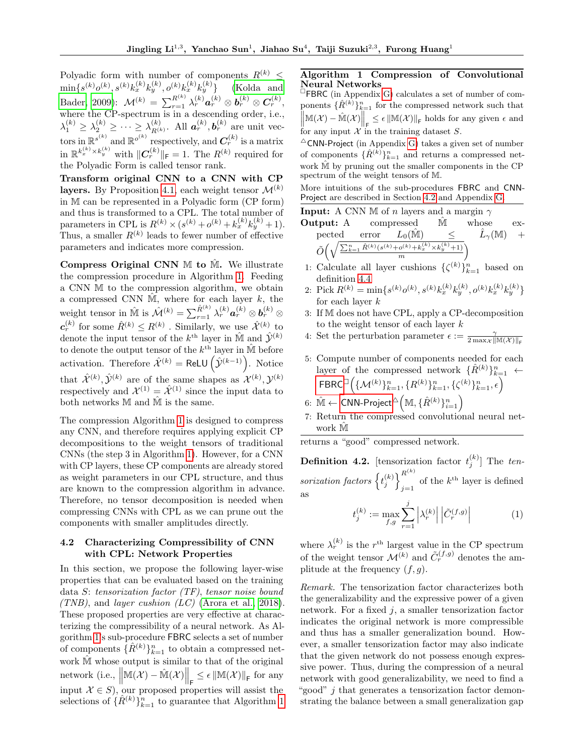Polyadic form with number of components  $R^{(k)}$  <  $\min\{s^{(k)}o^{(k)},s^{(k)}k_x^{(k)}k_y^{(k)},o^{(k)}k_x^{(k)}k_y^{(k)}$ [\(Kolda and](#page-9-7)  $\text{Bader, 2009):} \;\; \mathcal{M}^{(k)} \, = \, \sum_{r=1}^{R^{(k)}} \lambda^{(k)}_r \bm{a}^{(k)}_r \otimes \bm{b}^{(k)}_r \otimes \bm{C}^{(k)}_r,$  $\text{Bader, 2009):} \;\; \mathcal{M}^{(k)} \, = \, \sum_{r=1}^{R^{(k)}} \lambda^{(k)}_r \bm{a}^{(k)}_r \otimes \bm{b}^{(k)}_r \otimes \bm{C}^{(k)}_r,$  $\text{Bader, 2009):} \;\; \mathcal{M}^{(k)} \, = \, \sum_{r=1}^{R^{(k)}} \lambda^{(k)}_r \bm{a}^{(k)}_r \otimes \bm{b}^{(k)}_r \otimes \bm{C}^{(k)}_r,$ where the CP-spectrum is in a descending order, i.e.,  $\lambda_1^{(k)} \geq \lambda_2^{(k)} \geq \cdots \geq \lambda_{R^{(l)}}^{(k)}$  $\mathbf{R}^{(k)}$ . All  $\mathbf{a}_r^{(k)}$ ,  $\mathbf{b}_r^{(k)}$  are unit vectors in  $\mathbb{R}^{s^{(k)}}$  and  $\mathbb{R}^{o^{(k)}}$  respectively, and  $\mathbf{C}_r^{(k)}$  is a matrix in  $\mathbb{R}^{k_x^{(k)} \times k_y^{(k)}}$  with  $||C_r^{(k)}||_{\text{F}} = 1$ . The  $R^{(k)}$  required for the Polyadic Form is called tensor rank.

Transform original CNN to a CNN with CP layers. By Proposition [4.1,](#page-3-0) each weight tensor  $\mathcal{M}^{(k)}$ in M can be represented in a Polyadic form (CP form) and thus is transformed to a CPL. The total number of parameters in CPL is  $R^{(k)} \times (s^{(k)} + o^{(k)} + k_x^{(k)} k_y^{(k)} + 1)$ . Thus, a smaller  $R^{(k)}$  leads to fewer number of effective parameters and indicates more compression.

Compress Original CNN  $M$  to  $\hat{M}$ . We illustrate the compression procedure in Algorithm [1.](#page-4-1) Feeding a CNN M to the compression algorithm, we obtain a compressed CNN  $\hat{M}$ , where for each layer k, the weight tensor in  $\hat{M}$  is  $\hat{\mathcal{M}}^{(k)} = \sum_{r=1}^{\hat{R}^{(k)}} \lambda_r^{(k)} a_r^{(k)} \otimes b_r^{(k)} \otimes$  $\mathbf{c}_r^{(k)}$  for some  $\hat{R}^{(k)} \leq R^{(k)}$  . Similarly, we use  $\hat{\mathcal{X}}^{(k)}$  to denote the input tensor of the  $k^{\text{th}}$  layer in  $\hat{\mathbb{M}}$  and  $\hat{\mathcal{Y}}^{(k)}$ to denote the output tensor of the  $k^{\text{th}}$  layer in  $\hat{M}$  before activation. Therefore  $\hat{\mathcal{X}}^{(k)} = \text{ReLU}\left(\hat{\mathcal{Y}}^{(k-1)}\right)$ . Notice that  $\hat{\mathcal{X}}^{(k)}$ ,  $\hat{\mathcal{Y}}^{(k)}$  are of the same shapes as  $\mathcal{X}^{(k)}$ ,  $\mathcal{Y}^{(k)}$ respectively and  $\mathcal{X}^{(1)} = \hat{\mathcal{X}}^{(1)}$  since the input data to both networks  $M$  and  $M$  is the same.

The compression Algorithm [1](#page-4-1) is designed to compress any CNN, and therefore requires applying explicit CP decompositions to the weight tensors of traditional CNNs (the step 3 in Algorithm [1\)](#page-4-1). However, for a CNN with CP layers, these CP components are already stored as weight parameters in our CPL structure, and thus are known to the compression algorithm in advance. Therefore, no tensor decomposition is needed when compressing CNNs with CPL as we can prune out the components with smaller amplitudes directly.

#### <span id="page-4-0"></span>4.2 Characterizing Compressibility of CNN with CPL: Network Properties

In this section, we propose the following layer-wise properties that can be evaluated based on the training data S: tensorization factor (TF), tensor noise bound (TNB), and *layer cushion* (LC) [\(Arora et al., 2018\)](#page-8-0). These proposed properties are very effective at characterizing the compressibility of a neural network. As Algorithm [1'](#page-4-1)s sub-procedure FBRC selects a set of number of components  $\{\hat{R}^{(k)}\}_{k=1}^n$  to obtain a compressed network  $\hat{\mathbb{M}}$  whose output is similar to that of the original network (i.e.,  $\left\|\mathbb{M}(\mathcal{X}) - \hat{\mathbb{M}}(\mathcal{X})\right\|_{\mathsf{F}} \leq \epsilon \left\|\mathbb{M}(\mathcal{X})\right\|_{\mathsf{F}}$  for any input  $\mathcal{X} \in S$ , our proposed properties will assist the selections of  $\{\hat{R}^{(k)}\}_{k=1}^n$  to guarantee that Algorithm [1](#page-4-1)

### <span id="page-4-1"></span>Algorithm 1 Compression of Convolutional Neural Networks

FBRC (in Appendix [G\)](#page--1-11) calculates a set of number of components  $\{\hat{R}^{(k)}\}_{k=1}^{n}$  for the compressed network such that  $\|\mathbb{M}(\mathcal{X}) - \hat{\mathbb{M}}(\mathcal{X})\|_{\mathsf{F}} \leq \epsilon \|\mathbb{M}(\mathcal{X})\|_{\mathsf{F}}$  holds for any given  $\epsilon$  and  $|| \cdot$   $||_F$   $||_F$   $||_F$   $||_F$   $||_F$   $||_F$   $||_F$   $||_F$   $||_F$   $||_F$   $||_F$   $||_F$   $||_F$   $||_F$   $||_F$   $||_F$   $||_F$   $||_F$   $||_F$   $||_F$   $||_F$   $||_F$   $||_F$   $||_F$   $||_F$   $||_F$   $||_F$   $||_F$   $||_F$   $||_F$   $||_F$   $||_F$   $||_F$   $||_F$   $||_F$   $||_F$ 

 $^\Delta$  CNN-Project (in Appendix [G\)](#page--1-11) takes a given set of number of components  $\{\hat{R}^{(k)}\}_{k=1}^{n}$  and returns a compressed network $\hat{\mathbb{M}}$  by pruning out the smaller components in the CP spectrum of the weight tensors of M.

More intuitions of the sub-procedures FBRC and CNN-Project are described in Section [4.2](#page-4-0) and Appendix [G.](#page--1-11)

**Input:** A CNN M of n layers and a margin  $\gamma$ 

**Output:** A compressed 
$$
\hat{\mathbb{M}}
$$
 whose  
pected error  $L_0(\hat{\mathbb{M}}) \leq \hat{L}_{\gamma}(\mathbb{M}) + \tilde{O}(\sqrt{\frac{\sum_{k=1}^{n} \hat{R}^{(k)}(s^{(k)} + o^{(k)} + k_x^{(k)} \times k_y^{(k)} + 1}{m}})$ 

- 1: Calculate all layer cushions  $\{\zeta^{(k)}\}_{k=1}^n$  based on definition [4.4](#page-5-0)
- 2: Pick  $R^{(k)} = \min\{s^{(k)}o^{(k)}, s^{(k)}k_x^{(k)}k_y^{(k)}, o^{(k)}k_x^{(k)}k_y^{(k)}\}$ for each layer  $k$
- 3: If M does not have CPL, apply a CP-decomposition to the weight tensor of each layer  $k$
- 4: Set the perturbation parameter  $\epsilon := \frac{\gamma}{2 \max_{\mathcal{X}} ||\mathbb{M}(\mathcal{X})||_{\mathsf{F}}}$

5: Compute number of components needed for each layer of the compressed network  $\{\hat{R}^{(k)}\}_{k=1}^n$  ←  $\mathsf{FBRC}^{\square}\Big(\{\mathcal{M}^{(k)}\}_{k=1}^n, \{R^{(k)}\}_{k=1}^n, \{\zeta^{(k)}\}_{k=1}^n, \epsilon\Big)$  $\mathsf{FBRC}^{\square}\Big(\{\mathcal{M}^{(k)}\}_{k=1}^n, \{R^{(k)}\}_{k=1}^n, \{\zeta^{(k)}\}_{k=1}^n, \epsilon\Big)$  $\mathsf{FBRC}^{\square}\Big(\{\mathcal{M}^{(k)}\}_{k=1}^n, \{R^{(k)}\}_{k=1}^n, \{\zeta^{(k)}\}_{k=1}^n, \epsilon\Big)$ 

 $6\colon\thinspace \hat{\mathbb M}\leftarrow \textsf{CNN-Project}^{\triangle}\Big(\mathbb M, \{\hat R^{(k)}\}_{i=1}^n\Big)$  $6\colon\thinspace \hat{\mathbb M}\leftarrow \textsf{CNN-Project}^{\triangle}\Big(\mathbb M, \{\hat R^{(k)}\}_{i=1}^n\Big)$  $6\colon\thinspace \hat{\mathbb M}\leftarrow \textsf{CNN-Project}^{\triangle}\Big(\mathbb M, \{\hat R^{(k)}\}_{i=1}^n\Big)$ 

7: Return the compressed convolutional neural network M

returns a "good" compressed network.

<span id="page-4-2"></span>**Definition 4.2.** [tensorization factor  $t_j^{(k)}$ ] The tensorization factors  $\left\{t_j^{(k)}\right\}_{i=1}^{R^{(k)}}$  $j=1$  of the  $k^{\text{th}}$  layer is defined as

$$
t_j^{(k)} := \max_{f,g} \sum_{r=1}^j \left| \lambda_r^{(k)} \right| \left| \tilde{C}_r^{(f,g)} \right| \tag{1}
$$

where  $\lambda_r^{(k)}$  is the  $r^{\text{th}}$  largest value in the CP spectrum of the weight tensor  $\mathcal{M}^{(k)}$  and  $\tilde{C}_r^{(f,g)}$  denotes the amplitude at the frequency  $(f, q)$ .

Remark. The tensorization factor characterizes both the generalizability and the expressive power of a given network. For a fixed  $j$ , a smaller tensorization factor indicates the original network is more compressible and thus has a smaller generalization bound. However, a smaller tensorization factor may also indicate that the given network do not possess enough expressive power. Thus, during the compression of a neural network with good generalizability, we need to find a "good" j that generates a tensorization factor demonstrating the balance between a small generalization gap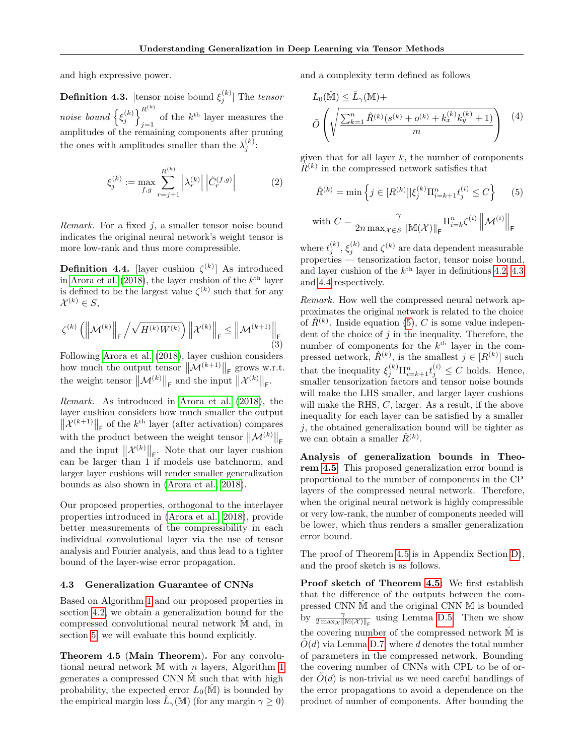and high expressive power.

<span id="page-5-1"></span>**Definition 4.3.** [tensor noise bound  $\xi_j^{(k)}$ ] The tensor noise bound  $\{ \xi_j^{(k)} \}_{j=1}^{R^{(k)}}$ of the  $k^{\text{th}}$  layer measures the amplitudes of the remaining components after pruning the ones with amplitudes smaller than the  $\lambda_j^{(k)}$ :

$$
\xi_j^{(k)} := \max_{f,g} \sum_{r=j+1}^{R^{(k)}} \left| \lambda_r^{(k)} \right| \left| \tilde{C}_r^{(f,g)} \right| \tag{2}
$$

Remark. For a fixed  $j$ , a smaller tensor noise bound indicates the original neural network's weight tensor is more low-rank and thus more compressible.

<span id="page-5-0"></span>**Definition 4.4.** [layer cushion  $\zeta^{(k)}$ ] As introduced in [Arora et al.](#page-8-0) [\(2018\)](#page-8-0), the layer cushion of the  $k^{\text{th}}$  layer is defined to be the largest value  $\zeta^{(k)}$  such that for any  $\mathcal{X}^{(k)}\in S,$ 

$$
\zeta^{(k)}\left(\left\|\mathcal{M}^{(k)}\right\|_{\mathsf{F}}/\sqrt{H^{(k)}W^{(k)}}\right)\left\|\mathcal{X}^{(k)}\right\|_{\mathsf{F}} \leq \left\|\mathcal{M}^{(k+1)}\right\|_{\mathsf{F}}\tag{3}
$$

Following [Arora et al.](#page-8-0) [\(2018\)](#page-8-0), layer cushion considers how much the output tensor  $\|\mathcal{M}^{(k+1)}\|_{\mathsf{F}}$  grows w.r.t. the weight tensor  $\|\mathcal{M}^{(k)}\|_{\mathsf{F}}$  and the input  $\|\mathcal{X}^{(k)}\|_{\mathsf{F}}$ .

Remark. As introduced in [Arora et al.](#page-8-0) [\(2018\)](#page-8-0), the layer cushion considers how much smaller the output  $\|\mathcal{X}^{(k+1)}\|_{\mathsf{F}}$  of the  $k^{\text{th}}$  layer (after activation) compares with the product between the weight tensor  $\|\mathcal{M}^{(k)}\|_{\mathsf{F}}$ and the input  $\|\mathcal{X}^{(k)}\|_{F}$ . Note that our layer cushion can be larger than 1 if models use batchnorm, and larger layer cushions will render smaller generalization bounds as also shown in [\(Arora et al., 2018\)](#page-8-0).

Our proposed properties, orthogonal to the interlayer properties introduced in [\(Arora et al., 2018\)](#page-8-0), provide better measurements of the compressibility in each individual convolutional layer via the use of tensor analysis and Fourier analysis, and thus lead to a tighter bound of the layer-wise error propagation.

#### 4.3 Generalization Guarantee of CNNs

Based on Algorithm [1](#page-4-1) and our proposed properties in section [4.2,](#page-4-0) we obtain a generalization bound for the compressed convolutional neural network Mˆ and, in section [5,](#page-6-3) we will evaluate this bound explicitly.

<span id="page-5-3"></span>Theorem 4.5 (Main Theorem). For any convolutional neural network  $M$  with n layers, Algorithm [1](#page-4-1) generates a compressed CNN Mˆ such that with high probability, the expected error  $L_0(\mathbb{M})$  is bounded by the empirical margin loss  $\hat{L}_{\gamma}(\mathbb{M})$  (for any margin  $\gamma \geq 0$ ) and a complexity term defined as follows

$$
L_0(\hat{\mathbb{M}}) \leq \hat{L}_{\gamma}(\mathbb{M}) + \left( \sqrt{\frac{\sum_{k=1}^n \hat{R}^{(k)}(s^{(k)} + o^{(k)} + k_x^{(k)}k_y^{(k)} + 1)}{m}} \right) \tag{4}
$$

given that for all layer  $k$ , the number of components  $\tilde{R}^{(k)}$  in the compressed network satisfies that

<span id="page-5-2"></span>
$$
\hat{R}^{(k)} = \min \left\{ j \in [R^{(k)}] | \xi_j^{(k)} \Pi_{i=k+1}^n t_j^{(i)} \le C \right\} \tag{5}
$$

$$
\text{ with } C = \frac{\gamma}{2n \max_{\mathcal{X} \in S} \left\| \mathbb{M}(\mathcal{X}) \right\|_{\mathsf{F}}} \Pi_{i=k}^n \zeta^{(i)} \left\| \mathcal{M}^{(i)} \right\|_{\mathsf{F}}
$$

where  $t_j^{(k)}$ ,  $\xi_j^{(k)}$  and  $\zeta^{(k)}$  are data dependent measurable properties — tensorization factor, tensor noise bound, and layer cushion of the  $k^{\text{th}}$  layer in definitions [4.2,](#page-4-2) [4.3](#page-5-1) and [4.4](#page-5-0) respectively.

Remark. How well the compressed neural network approximates the original network is related to the choice of  $\hat{R}^{(k)}$ . Inside equation [\(5\)](#page-5-2), C is some value independent of the choice of  $j$  in the inequality. Therefore, the number of components for the  $k^{\text{th}}$  layer in the compressed network,  $\hat{R}^{(k)}$ , is the smallest  $j \in [R^{(k)}]$  such that the inequality  $\xi_j^{(k)} \Pi_{i=k+1}^n t_j^{(i)} \leq C$  holds. Hence, smaller tensorization factors and tensor noise bounds will make the LHS smaller, and larger layer cushions will make the RHS, C, larger. As a result, if the above inequality for each layer can be satisfied by a smaller  $j$ , the obtained generalization bound will be tighter as we can obtain a smaller  $\hat{R}^{(k)}$ .

Analysis of generalization bounds in Theorem [4.5](#page-5-3): This proposed generalization error bound is proportional to the number of components in the CP layers of the compressed neural network. Therefore, when the original neural network is highly compressible or very low-rank, the number of components needed will be lower, which thus renders a smaller generalization error bound.

The proof of Theorem [4.5](#page-5-3) is in Appendix Section [D\)](#page--1-8), and the proof sketch is as follows.

Proof sketch of Theorem [4.5:](#page-5-3) We first establish that the difference of the outputs between the compressed CNN Mˆ and the original CNN M is bounded by  $\frac{\gamma}{2 \max_{\mathcal{X}} ||\mathbb{M}(\mathcal{X})||_{\text{F}}}$  using Lemma [D.5.](#page--1-0) Then we show the covering number of the compressed network  $\hat{M}$  is  $\tilde{O}(d)$  via Lemma [D.7,](#page--1-14) where d denotes the total number of parameters in the compressed network. Bounding the covering number of CNNs with CPL to be of order  $\ddot{O}(d)$  is non-trivial as we need careful handlings of the error propagations to avoid a dependence on the product of number of components. After bounding the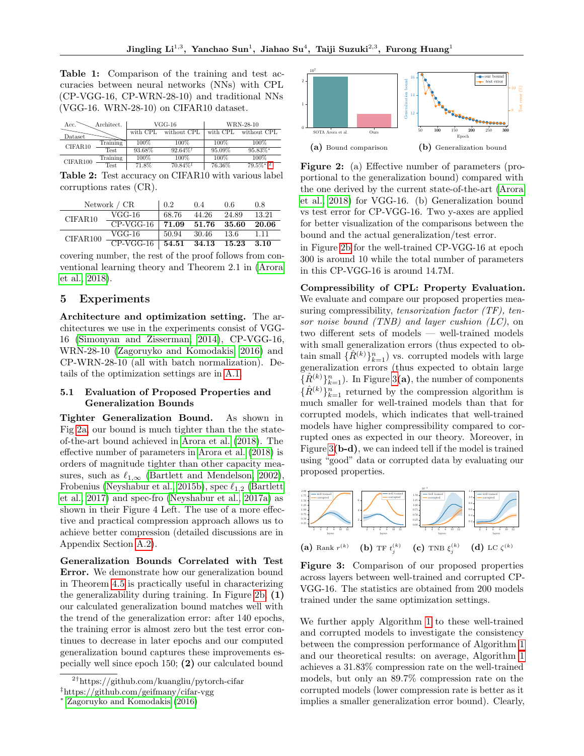<span id="page-6-5"></span>Table 1: Comparison of the training and test accuracies between neural networks (NNs) with CPL (CP-VGG-16, CP-WRN-28-10) and traditional NNs (VGG-16. WRN-28-10) on CIFAR10 dataset.

| Architect.<br>Acc. |                       |          | $VGG-16$    | WRN-28-10 |              |  |
|--------------------|-----------------------|----------|-------------|-----------|--------------|--|
| Dataset            |                       | with CPL | without CPL | with CPL  | without CPL  |  |
| CIFAR10            | Training              | 100%     | 100%        | 100%      | 100%         |  |
|                    | Test.                 | 93.68%   | $92.64\%$   | 95.09%    | $95.83\%$ *  |  |
| CIFAR100           | Training              | 100%     | 100%        | 100%      | 100%         |  |
|                    | $\operatorname{Test}$ | 71.8%    | $70.84\%$   | 76.36%    | $79.5\%$ * 2 |  |

<span id="page-6-2"></span>Table 2: Test accuracy on CIFAR10 with various label corruptions rates (CR).

| Network $/$ CR |             | 0.2       | 0.4                  | 0.6     | 0.8   |
|----------------|-------------|-----------|----------------------|---------|-------|
| CIFAR10        | $VGG-16$    | 68.76     | 44.26                | 24.89   | 13.21 |
|                | $CP-VGG-16$ | 71.09     | $\boldsymbol{51.76}$ | - 35.60 | 20.06 |
| CIFAR100       | VGG-16      | 50.94     | -30.46               | -13.6   | 1.11  |
|                | $CP-VGG-16$ | $54.51\,$ | 34.13                | 15.23   | -3.10 |

covering number, the rest of the proof follows from conventional learning theory and Theorem 2.1 in [\(Arora](#page-8-0) [et al., 2018\)](#page-8-0).

## <span id="page-6-3"></span>5 Experiments

Architecture and optimization setting. The architectures we use in the experiments consist of VGG-16 [\(Simonyan and Zisserman, 2014\)](#page-10-0), CP-VGG-16, WRN-28-10 [\(Zagoruyko and Komodakis, 2016\)](#page-10-2) and CP-WRN-28-10 (all with batch normalization). Details of the optimization settings are in [A.1.](#page--1-15)

### 5.1 Evaluation of Proposed Properties and Generalization Bounds

Tighter Generalization Bound. As shown in Fig [2a,](#page-6-0) our bound is much tighter than the the stateof-the-art bound achieved in [Arora et al.](#page-8-0) [\(2018\)](#page-8-0). The effective number of parameters in [Arora et al.](#page-8-0) [\(2018\)](#page-8-0) is orders of magnitude tighter than other capacity measures, such as  $\ell_{1,\infty}$  [\(Bartlett and Mendelson, 2002\)](#page-8-11), Frobenius [\(Neyshabur et al., 2015b\)](#page-9-17), spec  $\ell_{1,2}$  [\(Bartlett](#page-8-13) [et al., 2017\)](#page-8-13) and spec-fro [\(Neyshabur et al., 2017a\)](#page-9-20) as shown in their Figure 4 Left. The use of a more effective and practical compression approach allows us to achieve better compression (detailed discussions are in Appendix Section [A.2\)](#page--1-6).

Generalization Bounds Correlated with Test Error. We demonstrate how our generalization bound in Theorem [4.5](#page-5-3) is practically useful in characterizing the generalizability during training. In Figure [2b,](#page-6-0) (1) our calculated generalization bound matches well with the trend of the generalization error: after 140 epochs, the training error is almost zero but the test error continues to decrease in later epochs and our computed generalization bound captures these improvements especially well since epoch 150; (2) our calculated bound

<span id="page-6-0"></span>

Figure 2: (a) Effective number of parameters (proportional to the generalization bound) compared with the one derived by the current state-of-the-art [\(Arora](#page-8-0) [et al., 2018\)](#page-8-0) for VGG-16. (b) Generalization bound vs test error for CP-VGG-16. Two y-axes are applied for better visualization of the comparisons between the bound and the actual generalization/test error.

in Figure [2b](#page-6-0) for the well-trained CP-VGG-16 at epoch 300 is around 10 while the total number of parameters in this CP-VGG-16 is around 14.7M.

Compressibility of CPL: Property Evaluation. We evaluate and compare our proposed properties measuring compressibility, tensorization factor (TF), tensor noise bound (TNB) and layer cushion (LC), on two different sets of models — well-trained models with small generalization errors (thus expected to obtain small  $\{\hat{R}^{(k)}\}_{k=1}^n$ ) vs. corrupted models with large generalization errors (thus expected to obtain large  $\{\hat{R}^{(k)}\}_{k=1}^n$ ). In Figure [3](#page-6-1)(a), the number of components  $\{\hat{R}^{(k)}\}_{k=1}^n$  returned by the compression algorithm is much smaller for well-trained models than that for corrupted models, which indicates that well-trained models have higher compressibility compared to corrupted ones as expected in our theory. Moreover, in Figure [3](#page-6-1)(b-d), we can indeed tell if the model is trained using "good" data or corrupted data by evaluating our proposed properties.

<span id="page-6-1"></span>

Figure 3: Comparison of our proposed properties across layers between well-trained and corrupted CP-VGG-16. The statistics are obtained from 200 models trained under the same optimization settings.

We further apply Algorithm [1](#page-4-1) to these well-trained and corrupted models to investigate the consistency between the compression performance of Algorithm [1](#page-4-1) and our theoretical results: on average, Algorithm [1](#page-4-1) achieves a 31.83% compression rate on the well-trained models, but only an 89.7% compression rate on the corrupted models (lower compression rate is better as it implies a smaller generalization error bound). Clearly,

<span id="page-6-4"></span><sup>2</sup>†https://github.com/kuangliu/pytorch-cifar ‡https://github.com/geifmany/cifar-vgg

<sup>∗</sup> [Zagoruyko and Komodakis](#page-10-2) [\(2016\)](#page-10-2)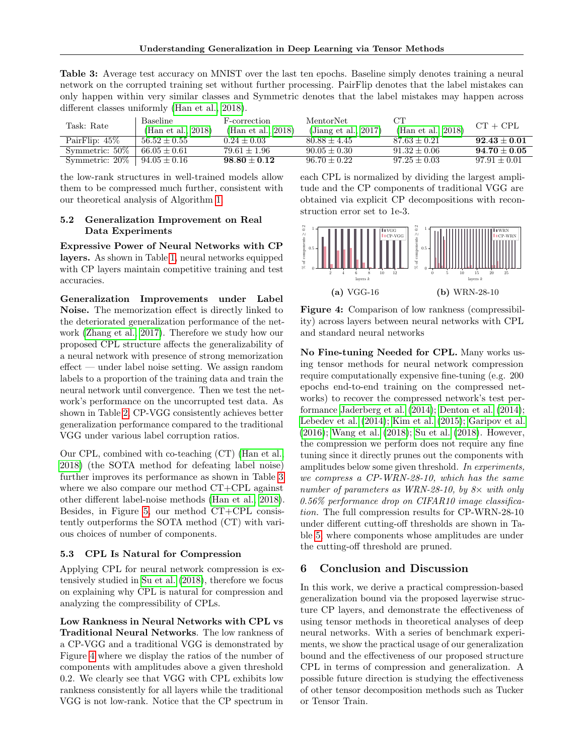<span id="page-7-1"></span>Table 3: Average test accuracy on MNIST over the last ten epochs. Baseline simply denotes training a neural network on the corrupted training set without further processing. PairFlip denotes that the label mistakes can only happen within very similar classes and Symmetric denotes that the label mistakes may happen across different classes uniformly [\(Han et al., 2018\)](#page-8-15).

| Task: Rate        | Baseline<br>(Han et al., 2018) | F-correction<br>(Han et al., 2018) | MentorNet<br>(Jiang et al., $2017$ ) | CТ<br>(Han et al., $2018$ ) | $CT + CPL$       |
|-------------------|--------------------------------|------------------------------------|--------------------------------------|-----------------------------|------------------|
| PairFlip: $45\%$  | $56.52 + 0.55$                 | $0.24 + 0.03$                      | $80.88 + 4.45$                       | $87.63 + 0.21$              | $92.43 \pm 0.01$ |
| Symmetric: 50\%   | $66.05 + 0.61$                 | $79.61 + 1.96$                     | $90.05 \pm 0.30$                     | $91.32 + 0.06$              | $94.70 + 0.05$   |
| Symmetric: $20\%$ | $94.05 \pm 0.16$               | $98.80 + 0.12$                     | $96.70 + 0.22$                       | $97.25 + 0.03$              | $97.91 + 0.01$   |

the low-rank structures in well-trained models allow them to be compressed much further, consistent with our theoretical analysis of Algorithm [1.](#page-4-1)

## <span id="page-7-2"></span>5.2 Generalization Improvement on Real Data Experiments

Expressive Power of Neural Networks with CP layers. As shown in Table [1,](#page-6-5) neural networks equipped with CP layers maintain competitive training and test accuracies.

Generalization Improvements under Label Noise. The memorization effect is directly linked to the deteriorated generalization performance of the network [\(Zhang et al., 2017\)](#page-10-12). Therefore we study how our proposed CPL structure affects the generalizability of a neural network with presence of strong memorization effect — under label noise setting. We assign random labels to a proportion of the training data and train the neural network until convergence. Then we test the network's performance on the uncorrupted test data. As shown in Table [2,](#page-6-2) CP-VGG consistently achieves better generalization performance compared to the traditional VGG under various label corruption ratios.

Our CPL, combined with co-teaching (CT) [\(Han et al.,](#page-8-15) [2018\)](#page-8-15) (the SOTA method for defeating label noise) further improves its performance as shown in Table [3](#page-7-1) where we also compare our method CT+CPL against other different label-noise methods [\(Han et al., 2018\)](#page-8-15). Besides, in Figure [5,](#page--1-3) our method CT+CPL consistently outperforms the SOTA method (CT) with various choices of number of components.

#### <span id="page-7-0"></span>5.3 CPL Is Natural for Compression

Applying CPL for neural network compression is extensively studied in [Su et al.](#page-10-6) [\(2018\)](#page-10-6), therefore we focus on explaining why CPL is natural for compression and analyzing the compressibility of CPLs.

Low Rankness in Neural Networks with CPL vs Traditional Neural Networks. The low rankness of a CP-VGG and a traditional VGG is demonstrated by Figure [4](#page-7-3) where we display the ratios of the number of components with amplitudes above a given threshold 0.2. We clearly see that VGG with CPL exhibits low rankness consistently for all layers while the traditional VGG is not low-rank. Notice that the CP spectrum in each CPL is normalized by dividing the largest amplitude and the CP components of traditional VGG are obtained via explicit CP decompositions with reconstruction error set to 1e-3.

<span id="page-7-3"></span>

Figure 4: Comparison of low rankness (compressibility) across layers between neural networks with CPL and standard neural networks

No Fine-tuning Needed for CPL. Many works using tensor methods for neural network compression require computationally expensive fine-tuning (e.g. 200 epochs end-to-end training on the compressed networks) to recover the compressed network's test performance [Jaderberg et al.](#page-9-4) [\(2014\)](#page-9-4); [Denton et al.](#page-8-1) [\(2014\)](#page-8-1); [Lebedev et al.](#page-9-5) [\(2014\)](#page-9-5); [Kim et al.](#page-9-6) [\(2015\)](#page-9-6); [Garipov et al.](#page-8-2) [\(2016\)](#page-8-2); [Wang et al.](#page-10-5) [\(2018\)](#page-10-5); [Su et al.](#page-10-6) [\(2018\)](#page-10-6). However, the compression we perform does not require any fine tuning since it directly prunes out the components with amplitudes below some given threshold. In experiments, we compress a CP-WRN-28-10, which has the same number of parameters as WRN-28-10, by  $8\times$  with only 0.56% performance drop on CIFAR10 image classification. The full compression results for CP-WRN-28-10 under different cutting-off thresholds are shown in Table [5,](#page--1-2) where components whose amplitudes are under the cutting-off threshold are pruned.

#### 6 Conclusion and Discussion

In this work, we derive a practical compression-based generalization bound via the proposed layerwise structure CP layers, and demonstrate the effectiveness of using tensor methods in theoretical analyses of deep neural networks. With a series of benchmark experiments, we show the practical usage of our generalization bound and the effectiveness of our proposed structure CPL in terms of compression and generalization. A possible future direction is studying the effectiveness of other tensor decomposition methods such as Tucker or Tensor Train.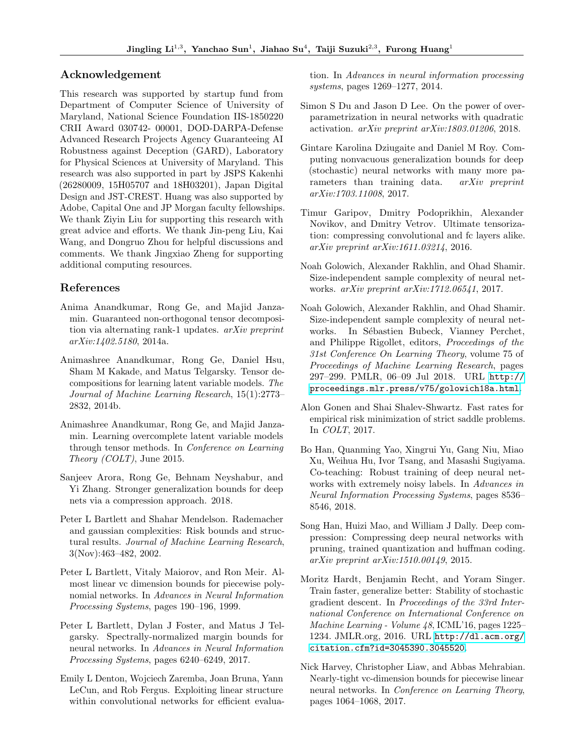#### Acknowledgement

This research was supported by startup fund from Department of Computer Science of University of Maryland, National Science Foundation IIS-1850220 CRII Award 030742- 00001, DOD-DARPA-Defense Advanced Research Projects Agency Guaranteeing AI Robustness against Deception (GARD), Laboratory for Physical Sciences at University of Maryland. This research was also supported in part by JSPS Kakenhi (26280009, 15H05707 and 18H03201), Japan Digital Design and JST-CREST. Huang was also supported by Adobe, Capital One and JP Morgan faculty fellowships. We thank Ziyin Liu for supporting this research with great advice and efforts. We thank Jin-peng Liu, Kai Wang, and Dongruo Zhou for helpful discussions and comments. We thank Jingxiao Zheng for supporting additional computing resources.

#### References

- Anima Anandkumar, Rong Ge, and Majid Janzamin. Guaranteed non-orthogonal tensor decomposition via alternating rank-1 updates. arXiv preprint arXiv:1402.5180, 2014a.
- <span id="page-8-3"></span>Animashree Anandkumar, Rong Ge, Daniel Hsu, Sham M Kakade, and Matus Telgarsky. Tensor decompositions for learning latent variable models. The Journal of Machine Learning Research, 15(1):2773– 2832, 2014b.
- Animashree Anandkumar, Rong Ge, and Majid Janzamin. Learning overcomplete latent variable models through tensor methods. In Conference on Learning Theory (COLT), June 2015.
- <span id="page-8-0"></span>Sanjeev Arora, Rong Ge, Behnam Neyshabur, and Yi Zhang. Stronger generalization bounds for deep nets via a compression approach. 2018.
- <span id="page-8-11"></span>Peter L Bartlett and Shahar Mendelson. Rademacher and gaussian complexities: Risk bounds and structural results. Journal of Machine Learning Research, 3(Nov):463–482, 2002.
- <span id="page-8-4"></span>Peter L Bartlett, Vitaly Maiorov, and Ron Meir. Almost linear vc dimension bounds for piecewise polynomial networks. In Advances in Neural Information Processing Systems, pages 190–196, 1999.
- <span id="page-8-13"></span>Peter L Bartlett, Dylan J Foster, and Matus J Telgarsky. Spectrally-normalized margin bounds for neural networks. In Advances in Neural Information Processing Systems, pages 6240–6249, 2017.
- <span id="page-8-1"></span>Emily L Denton, Wojciech Zaremba, Joan Bruna, Yann LeCun, and Rob Fergus. Exploiting linear structure within convolutional networks for efficient evalua-

tion. In Advances in neural information processing systems, pages 1269–1277, 2014.

- <span id="page-8-8"></span>Simon S Du and Jason D Lee. On the power of overparametrization in neural networks with quadratic activation. arXiv preprint arXiv:1803.01206, 2018.
- <span id="page-8-9"></span>Gintare Karolina Dziugaite and Daniel M Roy. Computing nonvacuous generalization bounds for deep (stochastic) neural networks with many more parameters than training data. arXiv preprint arXiv:1703.11008, 2017.
- <span id="page-8-2"></span>Timur Garipov, Dmitry Podoprikhin, Alexander Novikov, and Dmitry Vetrov. Ultimate tensorization: compressing convolutional and fc layers alike. arXiv preprint arXiv:1611.03214, 2016.
- <span id="page-8-12"></span>Noah Golowich, Alexander Rakhlin, and Ohad Shamir. Size-independent sample complexity of neural networks. arXiv preprint arXiv:1712.06541, 2017.
- <span id="page-8-10"></span>Noah Golowich, Alexander Rakhlin, and Ohad Shamir. Size-independent sample complexity of neural networks. In Sébastien Bubeck, Vianney Perchet, and Philippe Rigollet, editors, Proceedings of the 31st Conference On Learning Theory, volume 75 of Proceedings of Machine Learning Research, pages 297–299. PMLR, 06–09 Jul 2018. URL [http://](http://proceedings.mlr.press/v75/golowich18a.html) [proceedings.mlr.press/v75/golowich18a.html](http://proceedings.mlr.press/v75/golowich18a.html).
- <span id="page-8-7"></span>Alon Gonen and Shai Shalev-Shwartz. Fast rates for empirical risk minimization of strict saddle problems. In COLT, 2017.
- <span id="page-8-15"></span>Bo Han, Quanming Yao, Xingrui Yu, Gang Niu, Miao Xu, Weihua Hu, Ivor Tsang, and Masashi Sugiyama. Co-teaching: Robust training of deep neural networks with extremely noisy labels. In Advances in Neural Information Processing Systems, pages 8536– 8546, 2018.
- <span id="page-8-14"></span>Song Han, Huizi Mao, and William J Dally. Deep compression: Compressing deep neural networks with pruning, trained quantization and huffman coding. arXiv preprint arXiv:1510.00149, 2015.
- <span id="page-8-6"></span>Moritz Hardt, Benjamin Recht, and Yoram Singer. Train faster, generalize better: Stability of stochastic gradient descent. In Proceedings of the 33rd International Conference on International Conference on Machine Learning - Volume 48, ICML'16, pages 1225– 1234. JMLR.org, 2016. URL [http://dl.acm.org/](http://dl.acm.org/citation.cfm?id=3045390.3045520) [citation.cfm?id=3045390.3045520](http://dl.acm.org/citation.cfm?id=3045390.3045520).
- <span id="page-8-5"></span>Nick Harvey, Christopher Liaw, and Abbas Mehrabian. Nearly-tight vc-dimension bounds for piecewise linear neural networks. In Conference on Learning Theory, pages 1064–1068, 2017.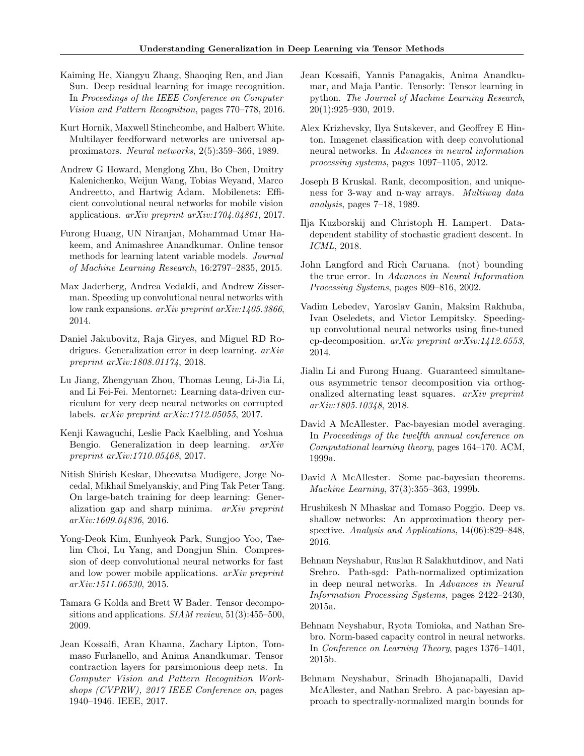- <span id="page-9-0"></span>Kaiming He, Xiangyu Zhang, Shaoqing Ren, and Jian Sun. Deep residual learning for image recognition. In Proceedings of the IEEE Conference on Computer Vision and Pattern Recognition, pages 770–778, 2016.
- <span id="page-9-2"></span>Kurt Hornik, Maxwell Stinchcombe, and Halbert White. Multilayer feedforward networks are universal approximators. Neural networks, 2(5):359–366, 1989.
- <span id="page-9-11"></span>Andrew G Howard, Menglong Zhu, Bo Chen, Dmitry Kalenichenko, Weijun Wang, Tobias Weyand, Marco Andreetto, and Hartwig Adam. Mobilenets: Efficient convolutional neural networks for mobile vision applications. arXiv preprint arXiv:1704.04861, 2017.
- <span id="page-9-8"></span>Furong Huang, UN Niranjan, Mohammad Umar Hakeem, and Animashree Anandkumar. Online tensor methods for learning latent variable models. Journal of Machine Learning Research, 16:2797–2835, 2015.
- <span id="page-9-4"></span>Max Jaderberg, Andrea Vedaldi, and Andrew Zisserman. Speeding up convolutional neural networks with low rank expansions. arXiv preprint arXiv:1405.3866, 2014.
- <span id="page-9-21"></span>Daniel Jakubovitz, Raja Giryes, and Miguel RD Rodrigues. Generalization error in deep learning. arXiv preprint arXiv:1808.01174, 2018.
- <span id="page-9-23"></span>Lu Jiang, Zhengyuan Zhou, Thomas Leung, Li-Jia Li, and Li Fei-Fei. Mentornet: Learning data-driven curriculum for very deep neural networks on corrupted labels. arXiv preprint arXiv:1712.05055, 2017.
- <span id="page-9-19"></span>Kenji Kawaguchi, Leslie Pack Kaelbling, and Yoshua Bengio. Generalization in deep learning. arXiv preprint arXiv:1710.05468, 2017.
- <span id="page-9-12"></span>Nitish Shirish Keskar, Dheevatsa Mudigere, Jorge Nocedal, Mikhail Smelyanskiy, and Ping Tak Peter Tang. On large-batch training for deep learning: Generalization gap and sharp minima. arXiv preprint arXiv:1609.04836, 2016.
- <span id="page-9-6"></span>Yong-Deok Kim, Eunhyeok Park, Sungjoo Yoo, Taelim Choi, Lu Yang, and Dongjun Shin. Compression of deep convolutional neural networks for fast and low power mobile applications. arXiv preprint arXiv:1511.06530, 2015.
- <span id="page-9-7"></span>Tamara G Kolda and Brett W Bader. Tensor decompositions and applications.  $SIAM$  review,  $51(3):455-500$ , 2009.
- <span id="page-9-10"></span>Jean Kossaifi, Aran Khanna, Zachary Lipton, Tommaso Furlanello, and Anima Anandkumar. Tensor contraction layers for parsimonious deep nets. In Computer Vision and Pattern Recognition Workshops (CVPRW), 2017 IEEE Conference on, pages 1940–1946. IEEE, 2017.
- Jean Kossaifi, Yannis Panagakis, Anima Anandkumar, and Maja Pantic. Tensorly: Tensor learning in python. The Journal of Machine Learning Research, 20(1):925–930, 2019.
- <span id="page-9-1"></span>Alex Krizhevsky, Ilya Sutskever, and Geoffrey E Hinton. Imagenet classification with deep convolutional neural networks. In Advances in neural information processing systems, pages 1097–1105, 2012.
- <span id="page-9-22"></span>Joseph B Kruskal. Rank, decomposition, and uniqueness for 3-way and n-way arrays. Multiway data analysis, pages 7–18, 1989.
- <span id="page-9-13"></span>Ilja Kuzborskij and Christoph H. Lampert. Datadependent stability of stochastic gradient descent. In ICML, 2018.
- <span id="page-9-16"></span>John Langford and Rich Caruana. (not) bounding the true error. In Advances in Neural Information Processing Systems, pages 809–816, 2002.
- <span id="page-9-5"></span>Vadim Lebedev, Yaroslav Ganin, Maksim Rakhuba, Ivan Oseledets, and Victor Lempitsky. Speedingup convolutional neural networks using fine-tuned cp-decomposition. arXiv preprint arXiv:1412.6553, 2014.
- <span id="page-9-9"></span>Jialin Li and Furong Huang. Guaranteed simultaneous asymmetric tensor decomposition via orthogonalized alternating least squares. arXiv preprint arXiv:1805.10348, 2018.
- <span id="page-9-15"></span>David A McAllester. Pac-bayesian model averaging. In Proceedings of the twelfth annual conference on Computational learning theory, pages 164–170. ACM, 1999a.
- <span id="page-9-14"></span>David A McAllester. Some pac-bayesian theorems. Machine Learning, 37(3):355–363, 1999b.
- <span id="page-9-3"></span>Hrushikesh N Mhaskar and Tomaso Poggio. Deep vs. shallow networks: An approximation theory perspective. Analysis and Applications, 14(06):829-848, 2016.
- <span id="page-9-18"></span>Behnam Neyshabur, Ruslan R Salakhutdinov, and Nati Srebro. Path-sgd: Path-normalized optimization in deep neural networks. In Advances in Neural Information Processing Systems, pages 2422–2430, 2015a.
- <span id="page-9-17"></span>Behnam Neyshabur, Ryota Tomioka, and Nathan Srebro. Norm-based capacity control in neural networks. In Conference on Learning Theory, pages 1376–1401, 2015b.
- <span id="page-9-20"></span>Behnam Neyshabur, Srinadh Bhojanapalli, David McAllester, and Nathan Srebro. A pac-bayesian approach to spectrally-normalized margin bounds for